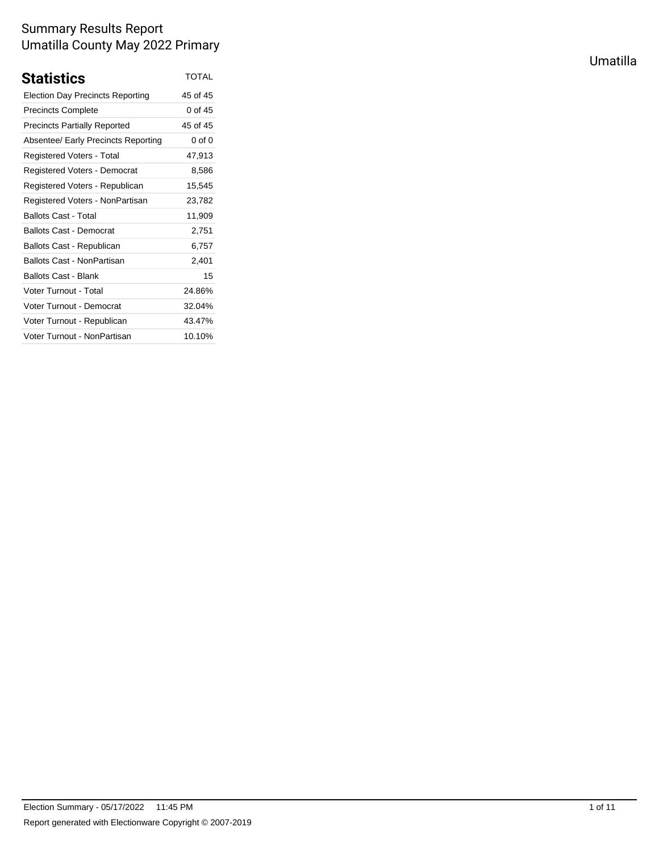| <b>Statistics</b>                       | <b>TOTAL</b> |
|-----------------------------------------|--------------|
| <b>Election Day Precincts Reporting</b> | 45 of 45     |
| <b>Precincts Complete</b>               | 0 of 45      |
| <b>Precincts Partially Reported</b>     | 45 of 45     |
| Absentee/ Early Precincts Reporting     | 0 of 0       |
| Registered Voters - Total               | 47,913       |
| Registered Voters - Democrat            | 8,586        |
| Registered Voters - Republican          | 15,545       |
| Registered Voters - NonPartisan         | 23,782       |
| <b>Ballots Cast - Total</b>             | 11,909       |
| Ballots Cast - Democrat                 | 2,751        |
| Ballots Cast - Republican               | 6,757        |
| Ballots Cast - NonPartisan              | 2.401        |
| <b>Ballots Cast - Blank</b>             | 15           |
| Voter Turnout - Total                   | 24.86%       |
| Voter Turnout - Democrat                | 32.04%       |
| Voter Turnout - Republican              | 43.47%       |
| Voter Turnout - NonPartisan             | 10.10%       |

Umatilla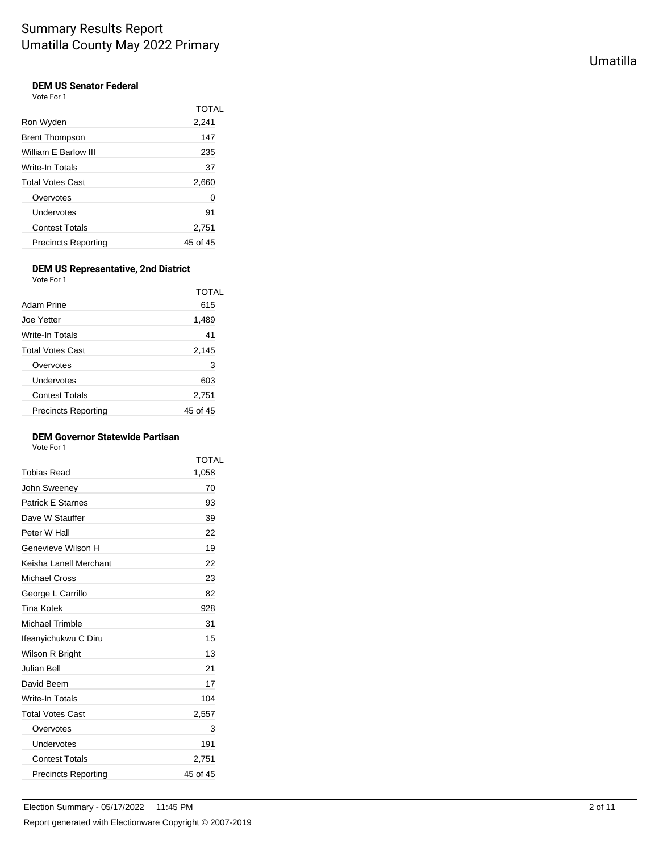#### **DEM US Senator Federal** Vote For 1

| ו וטוכים                   |          |
|----------------------------|----------|
|                            | TOTAL    |
| Ron Wyden                  | 2,241    |
| <b>Brent Thompson</b>      | 147      |
| William E Barlow III       | 235      |
| Write-In Totals            | 37       |
| <b>Total Votes Cast</b>    | 2,660    |
| Overvotes                  | 0        |
| Undervotes                 | 91       |
| <b>Contest Totals</b>      | 2,751    |
| <b>Precincts Reporting</b> | 45 of 45 |
|                            |          |

#### **DEM US Representative, 2nd District** Vote For 1

| Adam Prine                 | TOTAL<br>615 |
|----------------------------|--------------|
| Joe Yetter                 | 1,489        |
| Write-In Totals            | 41           |
| <b>Total Votes Cast</b>    | 2,145        |
| Overvotes                  | 3            |
| Undervotes                 | 603          |
| <b>Contest Totals</b>      | 2,751        |
| <b>Precincts Reporting</b> | 45 of 45     |

### **DEM Governor Statewide Partisan**

Vote For 1

|                            | TOTAL    |
|----------------------------|----------|
| Tobias Read                | 1,058    |
| John Sweeney               | 70       |
| <b>Patrick E Starnes</b>   | 93       |
| Dave W Stauffer            | 39       |
| Peter W Hall               | 22       |
| Genevieve Wilson H         | 19       |
| Keisha Lanell Merchant     | 22       |
| Michael Cross              | 23       |
| George L Carrillo          | 82       |
| Tina Kotek                 | 928      |
| Michael Trimble            | 31       |
| Ifeanyichukwu C Diru       | 15       |
| Wilson R Bright            | 13       |
| Julian Bell                | 21       |
| David Beem                 | 17       |
| Write-In Totals            | 104      |
| <b>Total Votes Cast</b>    | 2,557    |
| Overvotes                  | 3        |
| Undervotes                 | 191      |
| <b>Contest Totals</b>      | 2,751    |
| <b>Precincts Reporting</b> | 45 of 45 |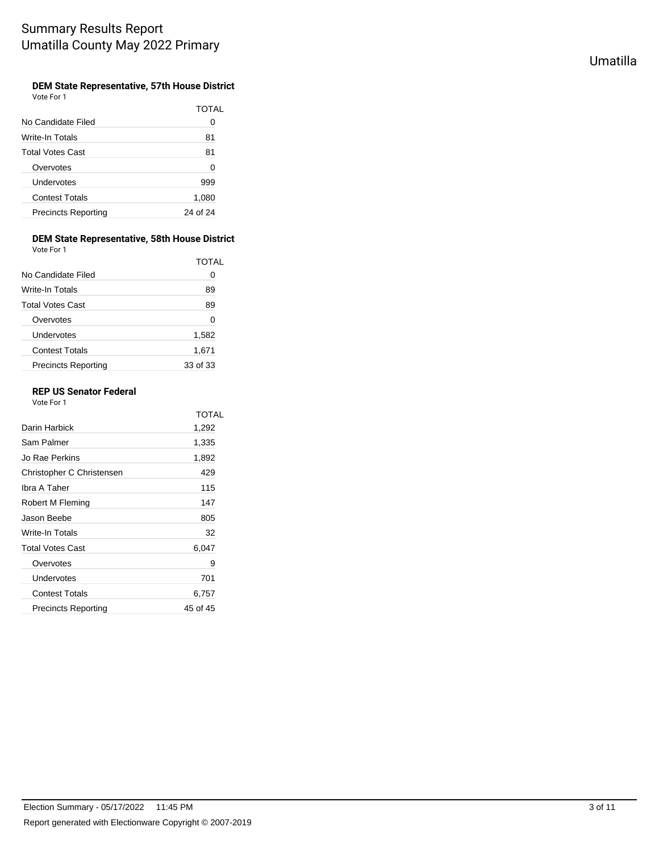### **DEM State Representative, 57th House District**

Vote For 1

|                            | TOTAL    |
|----------------------------|----------|
| No Candidate Filed         | Ω        |
| Write-In Totals            | 81       |
| <b>Total Votes Cast</b>    | 81       |
| Overvotes                  | 0        |
| Undervotes                 | 999      |
| <b>Contest Totals</b>      | 1,080    |
| <b>Precincts Reporting</b> | 24 of 24 |

## **DEM State Representative, 58th House District**

Vote For 1

|                            | TOTAI    |
|----------------------------|----------|
| No Candidate Filed         | Ω        |
| Write-In Totals            | 89       |
| <b>Total Votes Cast</b>    | 89       |
| Overvotes                  | 0        |
| Undervotes                 | 1,582    |
| <b>Contest Totals</b>      | 1,671    |
| <b>Precincts Reporting</b> | 33 of 33 |

### **REP US Senator Federal**

Vote For 1

|                           | TOTAI    |
|---------------------------|----------|
| Darin Harbick             | 1,292    |
| Sam Palmer                | 1,335    |
| Jo Rae Perkins            | 1,892    |
| Christopher C Christensen | 429      |
| Ibra A Taher              | 115      |
| Robert M Fleming          | 147      |
| Jason Beebe               | 805      |
| Write-In Totals           | 32       |
| Total Votes Cast          | 6,047    |
| Overvotes                 | 9        |
| Undervotes                | 701      |
| <b>Contest Totals</b>     | 6,757    |
| Precincts Reporting       | 45 of 45 |
|                           |          |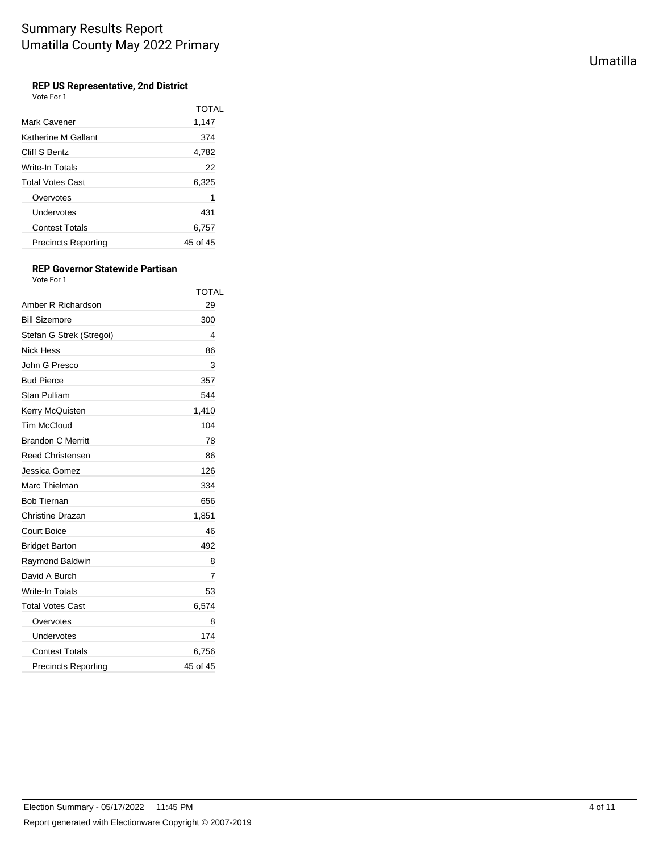### **REP US Representative, 2nd District**

Vote For 1

|                            | <b>TOTAL</b> |
|----------------------------|--------------|
| Mark Cavener               | 1,147        |
| Katherine M Gallant        | 374          |
| Cliff S Bentz              | 4,782        |
| Write-In Totals            | 22           |
| Total Votes Cast           | 6,325        |
| Overvotes                  | 1            |
| Undervotes                 | 431          |
| <b>Contest Totals</b>      | 6,757        |
| <b>Precincts Reporting</b> | 45 of 45     |

#### **REP Governor Statewide Partisan** Vote For 1

|                            | TOTAL    |
|----------------------------|----------|
| Amber R Richardson         | 29       |
| <b>Bill Sizemore</b>       | 300      |
| Stefan G Strek (Stregoi)   | 4        |
| <b>Nick Hess</b>           | 86       |
| John G Presco              | 3        |
| <b>Bud Pierce</b>          | 357      |
| Stan Pulliam               | 544      |
| Kerry McQuisten            | 1,410    |
| <b>Tim McCloud</b>         | 104      |
| <b>Brandon C Merritt</b>   | 78       |
| <b>Reed Christensen</b>    | 86       |
| Jessica Gomez              | 126      |
| Marc Thielman              | 334      |
| <b>Bob Tiernan</b>         | 656      |
| Christine Drazan           | 1,851    |
| <b>Court Boice</b>         | 46       |
| <b>Bridget Barton</b>      | 492      |
| Raymond Baldwin            | 8        |
| David A Burch              | 7        |
| Write-In Totals            | 53       |
| <b>Total Votes Cast</b>    | 6,574    |
| Overvotes                  | 8        |
| Undervotes                 | 174      |
| <b>Contest Totals</b>      | 6,756    |
| <b>Precincts Reporting</b> | 45 of 45 |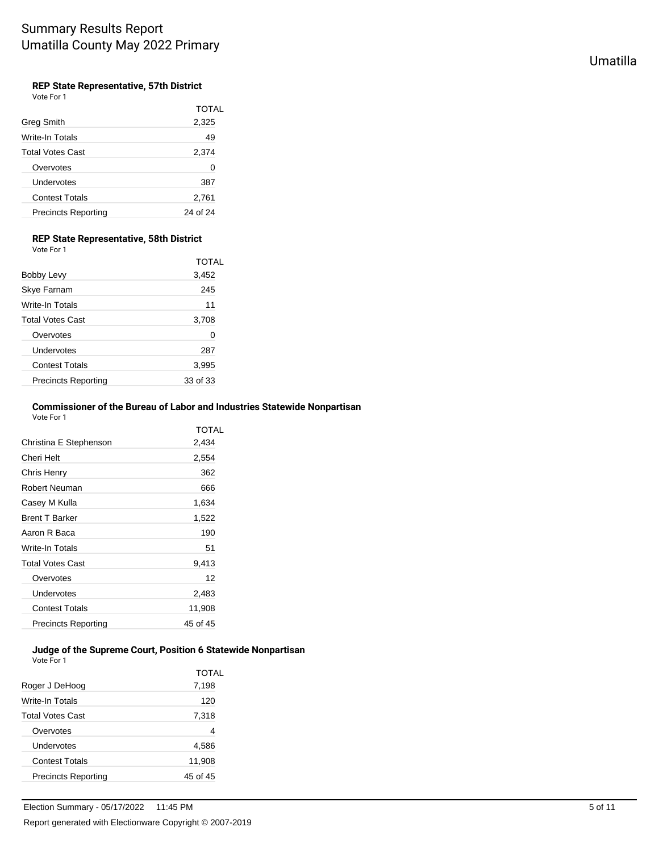## Umatilla

### **REP State Representative, 57th District**

Vote For 1

|                            | TOTAL    |
|----------------------------|----------|
| <b>Greg Smith</b>          | 2,325    |
| Write-In Totals            | 49       |
| <b>Total Votes Cast</b>    | 2,374    |
| Overvotes                  | 0        |
| Undervotes                 | 387      |
| <b>Contest Totals</b>      | 2,761    |
| <b>Precincts Reporting</b> | 24 of 24 |

### **REP State Representative, 58th District**

Vote For 1

|                            | <b>TOTAL</b> |
|----------------------------|--------------|
| Bobby Levy                 | 3,452        |
| Skye Farnam                | 245          |
| Write-In Totals            | 11           |
| Total Votes Cast           | 3,708        |
| Overvotes                  | 0            |
| Undervotes                 | 287          |
| <b>Contest Totals</b>      | 3,995        |
| <b>Precincts Reporting</b> | 33 of 33     |
|                            |              |

### **Commissioner of the Bureau of Labor and Industries Statewide Nonpartisan**

Vote For 1

|                         | TOTAL    |
|-------------------------|----------|
| Christina E Stephenson  | 2.434    |
| Cheri Helt              | 2,554    |
| Chris Henry             | 362      |
| Robert Neuman           | 666      |
| Casey M Kulla           | 1,634    |
| <b>Brent T Barker</b>   | 1,522    |
| Aaron R Baca            | 190      |
| Write-In Totals         | 51       |
| <b>Total Votes Cast</b> | 9,413    |
| Overvotes               | 12       |
| Undervotes              | 2,483    |
| <b>Contest Totals</b>   | 11,908   |
| Precincts Reporting     | 45 of 45 |

#### **Judge of the Supreme Court, Position 6 Statewide Nonpartisan** Vote For 1

|                            | TOTAL    |
|----------------------------|----------|
| Roger J DeHoog             | 7,198    |
| Write-In Totals            | 120      |
| <b>Total Votes Cast</b>    | 7,318    |
| Overvotes                  | 4        |
| Undervotes                 | 4,586    |
| <b>Contest Totals</b>      | 11,908   |
| <b>Precincts Reporting</b> | 45 of 45 |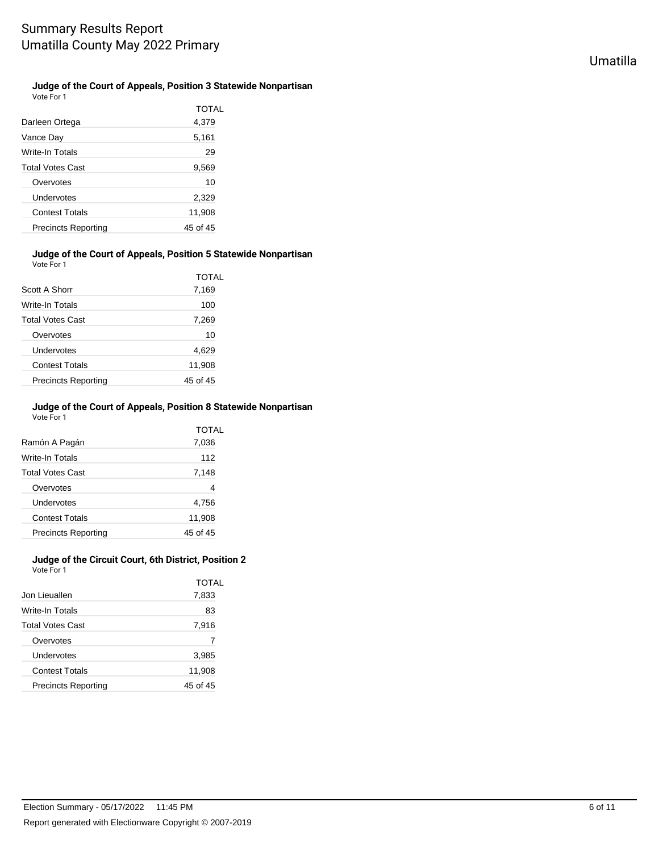### **Judge of the Court of Appeals, Position 3 Statewide Nonpartisan**

Vote For 1

|                            | TOTAL    |
|----------------------------|----------|
| Darleen Ortega             | 4,379    |
| Vance Day                  | 5,161    |
| Write-In Totals            | 29       |
| Total Votes Cast           | 9,569    |
| Overvotes                  | 10       |
| Undervotes                 | 2,329    |
| <b>Contest Totals</b>      | 11,908   |
| <b>Precincts Reporting</b> | 45 of 45 |

#### **Judge of the Court of Appeals, Position 5 Statewide Nonpartisan** Vote For 1

| Scott A Shorr              | TOTAL<br>7,169 |
|----------------------------|----------------|
| Write-In Totals            | 100            |
| <b>Total Votes Cast</b>    | 7,269          |
| Overvotes                  | 10             |
| Undervotes                 | 4,629          |
| <b>Contest Totals</b>      | 11,908         |
| <b>Precincts Reporting</b> | 45 of 45       |

#### **Judge of the Court of Appeals, Position 8 Statewide Nonpartisan** Vote For 1

| Ramón A Pagán              | TOTAL<br>7,036 |
|----------------------------|----------------|
| Write-In Totals            | 112            |
| <b>Total Votes Cast</b>    | 7,148          |
| Overvotes                  | 4              |
| Undervotes                 | 4,756          |
| <b>Contest Totals</b>      | 11,908         |
| <b>Precincts Reporting</b> | 45 of 45       |

#### **Judge of the Circuit Court, 6th District, Position 2** Vote For 1

|                            | TOTAL    |
|----------------------------|----------|
| Jon Lieuallen              | 7,833    |
| Write-In Totals            | 83       |
| <b>Total Votes Cast</b>    | 7,916    |
| Overvotes                  | 7        |
| Undervotes                 | 3,985    |
| <b>Contest Totals</b>      | 11,908   |
| <b>Precincts Reporting</b> | 45 of 45 |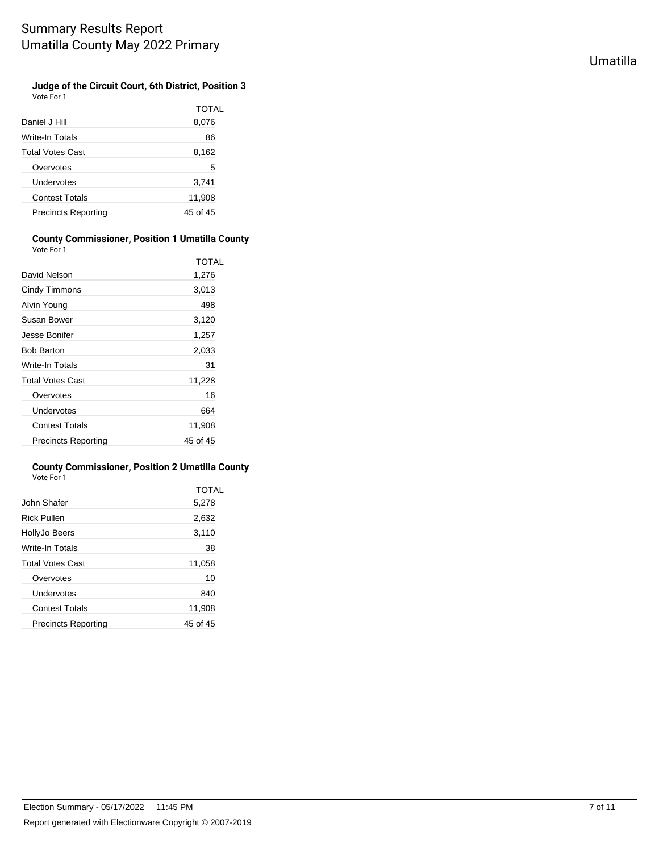### **Judge of the Circuit Court, 6th District, Position 3**

Vote For 1

|                            | TOTAL    |
|----------------------------|----------|
| Daniel J Hill              | 8,076    |
| Write-In Totals            | 86       |
| Total Votes Cast           | 8,162    |
| Overvotes                  | 5        |
| Undervotes                 | 3,741    |
| <b>Contest Totals</b>      | 11,908   |
| <b>Precincts Reporting</b> | 45 of 45 |
|                            |          |

#### **County Commissioner, Position 1 Umatilla County** Vote For 1

|                            | TOTAL    |
|----------------------------|----------|
| David Nelson               | 1,276    |
| Cindy Timmons              | 3,013    |
| Alvin Young                | 498      |
| Susan Bower                | 3,120    |
| Jesse Bonifer              | 1,257    |
| <b>Bob Barton</b>          | 2,033    |
| Write-In Totals            | 31       |
| <b>Total Votes Cast</b>    | 11,228   |
| Overvotes                  | 16       |
| Undervotes                 | 664      |
| <b>Contest Totals</b>      | 11,908   |
| <b>Precincts Reporting</b> | 45 of 45 |

#### **County Commissioner, Position 2 Umatilla County** Vote For 1

|                            | TOTAL    |
|----------------------------|----------|
| John Shafer                | 5,278    |
| <b>Rick Pullen</b>         | 2,632    |
| HollyJo Beers              | 3,110    |
| Write-In Totals            | 38       |
| <b>Total Votes Cast</b>    | 11,058   |
| Overvotes                  | 10       |
| Undervotes                 | 840      |
| <b>Contest Totals</b>      | 11,908   |
| <b>Precincts Reporting</b> | 45 of 45 |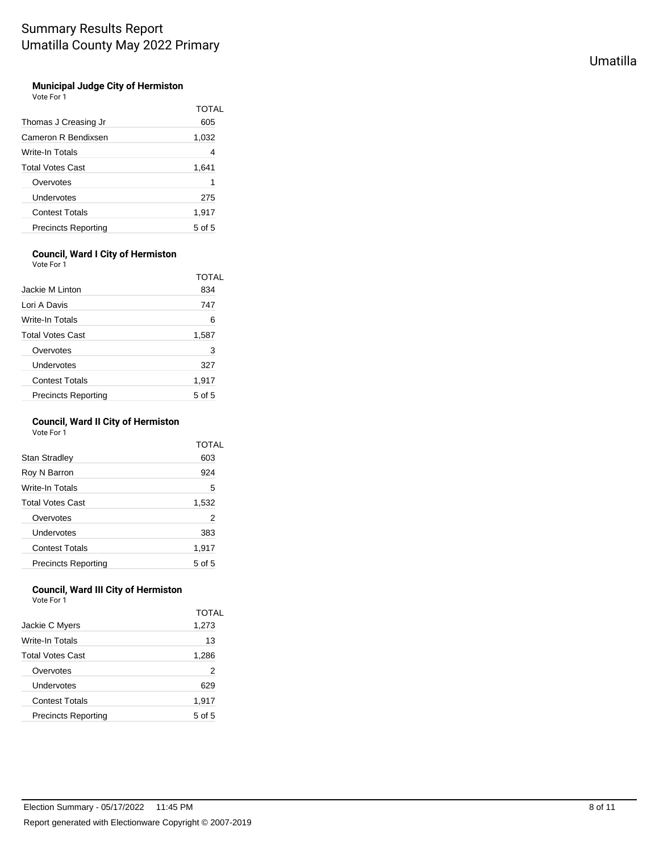#### **Municipal Judge City of Hermiston** Vote For 1

| Thomas J Creasing Jr       | TOTAL<br>605 |
|----------------------------|--------------|
| Cameron R Bendixsen        | 1,032        |
| Write-In Totals            | 4            |
| <b>Total Votes Cast</b>    | 1,641        |
| Overvotes                  | 1            |
| Undervotes                 | 275          |
| <b>Contest Totals</b>      | 1,917        |
| <b>Precincts Reporting</b> | $5$ of $5$   |

### **Council, Ward I City of Hermiston**

Vote For 1

|                            | TOTAL      |
|----------------------------|------------|
| Jackie M Linton            | 834        |
| Lori A Davis               | 747        |
| Write-In Totals            | 6          |
| <b>Total Votes Cast</b>    | 1,587      |
| Overvotes                  | 3          |
| Undervotes                 | 327        |
| <b>Contest Totals</b>      | 1,917      |
| <b>Precincts Reporting</b> | $5$ of $5$ |

### **Council, Ward II City of Hermiston**

Vote For 1

|                            | TOTAL  |
|----------------------------|--------|
| Stan Stradley              | 603    |
| Roy N Barron               | 924    |
| Write-In Totals            | 5      |
| <b>Total Votes Cast</b>    | 1,532  |
| Overvotes                  | 2      |
| Undervotes                 | 383    |
| <b>Contest Totals</b>      | 1,917  |
| <b>Precincts Reporting</b> | 5 of 5 |

#### **Council, Ward III City of Hermiston** Vote For 1

| Jackie C Myers<br>Write-In Totals | 1,273<br>13 |
|-----------------------------------|-------------|
|                                   |             |
|                                   |             |
| <b>Total Votes Cast</b>           | 1,286       |
| Overvotes                         | 2           |
| Undervotes                        | 629         |
| <b>Contest Totals</b>             | 1,917       |
| <b>Precincts Reporting</b>        | 5 of 5      |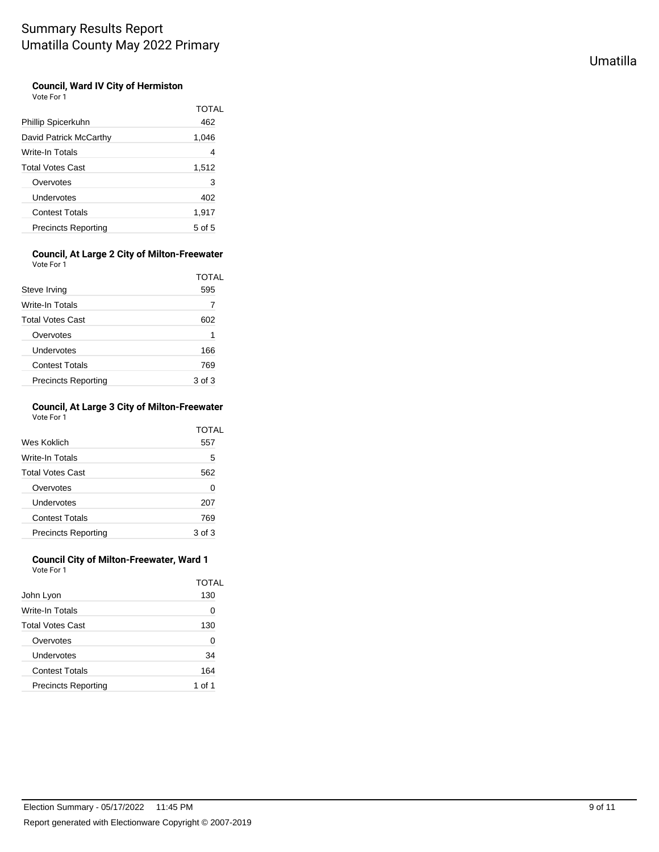#### **Council, Ward IV City of Hermiston** Vote For 1

|                            | TOTAL  |
|----------------------------|--------|
| Phillip Spicerkuhn         | 462    |
| David Patrick McCarthy     | 1,046  |
| Write-In Totals            | 4      |
| <b>Total Votes Cast</b>    | 1,512  |
| Overvotes                  | 3      |
| Undervotes                 | 402    |
| <b>Contest Totals</b>      | 1,917  |
| <b>Precincts Reporting</b> | 5 of 5 |

#### **Council, At Large 2 City of Milton-Freewater** Vote For 1

|                            | TOTAI  |
|----------------------------|--------|
| Steve Irving               | 595    |
| Write-In Totals            |        |
| <b>Total Votes Cast</b>    | 602    |
| Overvotes                  | 1      |
| Undervotes                 | 166    |
| <b>Contest Totals</b>      | 769    |
| <b>Precincts Reporting</b> | 3 of 3 |

#### **Council, At Large 3 City of Milton-Freewater** Vote For 1

| Wes Koklich                | TOTAL  |
|----------------------------|--------|
|                            | 557    |
| Write-In Totals            | 5      |
| <b>Total Votes Cast</b>    | 562    |
| Overvotes                  | 0      |
| Undervotes                 | 207    |
| <b>Contest Totals</b>      | 769    |
| <b>Precincts Reporting</b> | 3 of 3 |

#### **Council City of Milton-Freewater, Ward 1** Vote For 1

|                            | TOTAL    |
|----------------------------|----------|
| John Lyon                  | 130      |
| Write-In Totals            | 0        |
| <b>Total Votes Cast</b>    | 130      |
| Overvotes                  | 0        |
| Undervotes                 | 34       |
| <b>Contest Totals</b>      | 164      |
| <b>Precincts Reporting</b> | $\int$ 1 |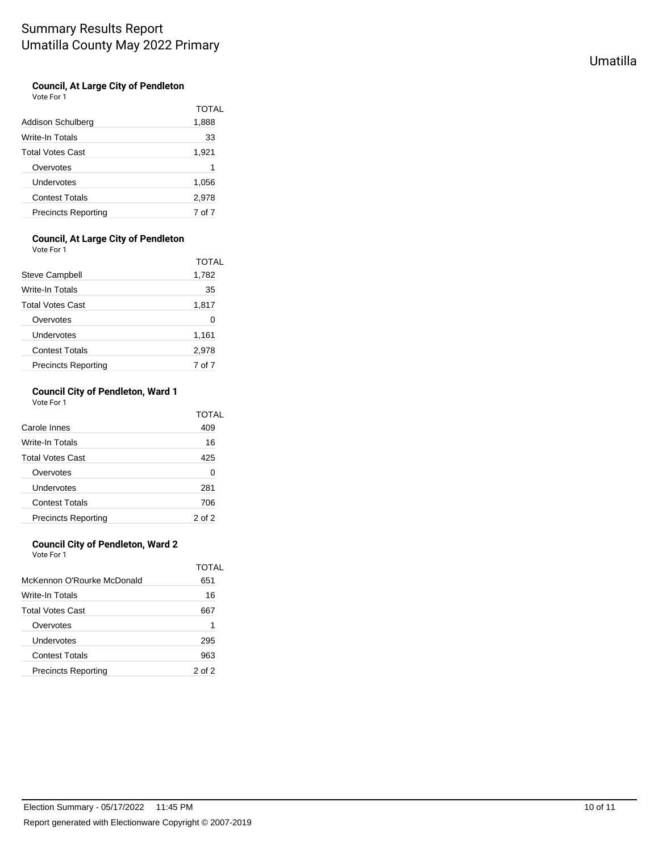#### **Council, At Large City of Pendleton** Vote For 1

| Addison Schulberg          | TOTAL<br>1,888 |
|----------------------------|----------------|
| Write-In Totals            | 33             |
| <b>Total Votes Cast</b>    | 1,921          |
| Overvotes                  | 1              |
| Undervotes                 | 1,056          |
| <b>Contest Totals</b>      | 2,978          |
| <b>Precincts Reporting</b> | 7 of 7         |

### **Council, At Large City of Pendleton**

Vote For 1

|                            | <b>TOTAL</b> |
|----------------------------|--------------|
| <b>Steve Campbell</b>      | 1,782        |
| Write-In Totals            | 35           |
| <b>Total Votes Cast</b>    | 1,817        |
| Overvotes                  | 0            |
| Undervotes                 | 1,161        |
| <b>Contest Totals</b>      | 2,978        |
| <b>Precincts Reporting</b> | 7 of 7       |

#### **Council City of Pendleton, Ward 1** Vote For 1

|                            | TOTAL  |
|----------------------------|--------|
| Carole Innes               | 409    |
| Write-In Totals            | 16     |
| <b>Total Votes Cast</b>    | 425    |
| Overvotes                  | 0      |
| Undervotes                 | 281    |
| <b>Contest Totals</b>      | 706    |
| <b>Precincts Reporting</b> | 2 of 2 |

### **Council City of Pendleton, Ward 2**

Vote For 1

|                            | TOTAI      |
|----------------------------|------------|
| McKennon O'Rourke McDonald | 651        |
| Write-In Totals            | 16         |
| <b>Total Votes Cast</b>    | 667        |
| Overvotes                  | 1          |
| Undervotes                 | 295        |
| <b>Contest Totals</b>      | 963        |
| <b>Precincts Reporting</b> | $2$ of $2$ |

Umatilla